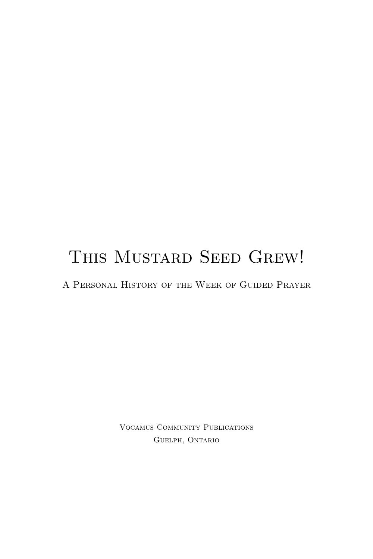# THIS MUSTARD SEED GREW!

A Personal History of the Week of Guided Prayer

Vocamus Community Publications Guelph, Ontario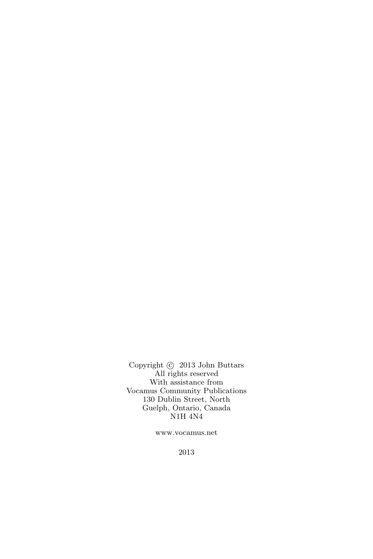Copyright  $\odot$  2013 John Buttars All rights reserved With assistance from Vocamus Community Publications 130 Dublin Street, North Guelph, Ontario, Canada N1H 4N4

www.vocamus.net

2013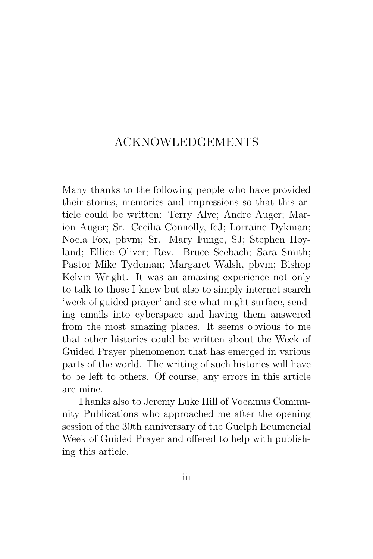### ACKNOWLEDGEMENTS

Many thanks to the following people who have provided their stories, memories and impressions so that this article could be written: Terry Alve; Andre Auger; Marion Auger; Sr. Cecilia Connolly, fcJ; Lorraine Dykman; Noela Fox, pbvm; Sr. Mary Funge, SJ; Stephen Hoyland; Ellice Oliver; Rev. Bruce Seebach; Sara Smith; Pastor Mike Tydeman; Margaret Walsh, pbvm; Bishop Kelvin Wright. It was an amazing experience not only to talk to those I knew but also to simply internet search 'week of guided prayer' and see what might surface, sending emails into cyberspace and having them answered from the most amazing places. It seems obvious to me that other histories could be written about the Week of Guided Prayer phenomenon that has emerged in various parts of the world. The writing of such histories will have to be left to others. Of course, any errors in this article are mine.

Thanks also to Jeremy Luke Hill of Vocamus Community Publications who approached me after the opening session of the 30th anniversary of the Guelph Ecumencial Week of Guided Prayer and offered to help with publishing this article.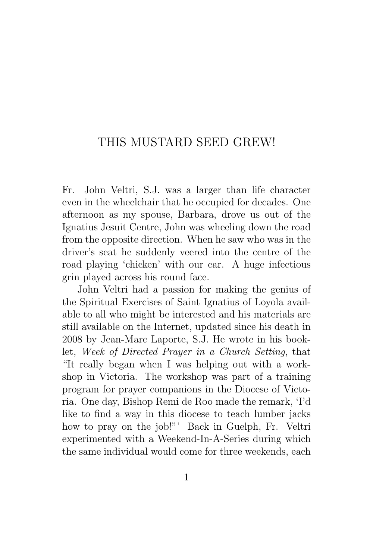## THIS MUSTARD SEED GREW!

Fr. John Veltri, S.J. was a larger than life character even in the wheelchair that he occupied for decades. One afternoon as my spouse, Barbara, drove us out of the Ignatius Jesuit Centre, John was wheeling down the road from the opposite direction. When he saw who was in the driver's seat he suddenly veered into the centre of the road playing 'chicken' with our car. A huge infectious grin played across his round face.

John Veltri had a passion for making the genius of the Spiritual Exercises of Saint Ignatius of Loyola available to all who might be interested and his materials are still available on the Internet, updated since his death in 2008 by Jean-Marc Laporte, S.J. He wrote in his booklet, Week of Directed Prayer in a Church Setting, that "It really began when I was helping out with a workshop in Victoria. The workshop was part of a training program for prayer companions in the Diocese of Victoria. One day, Bishop Remi de Roo made the remark, 'I'd like to find a way in this diocese to teach lumber jacks how to pray on the job!"' Back in Guelph, Fr. Veltri experimented with a Weekend-In-A-Series during which the same individual would come for three weekends, each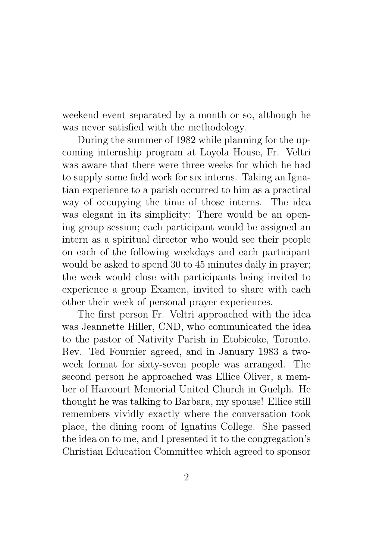weekend event separated by a month or so, although he was never satisfied with the methodology.

During the summer of 1982 while planning for the upcoming internship program at Loyola House, Fr. Veltri was aware that there were three weeks for which he had to supply some field work for six interns. Taking an Ignatian experience to a parish occurred to him as a practical way of occupying the time of those interns. The idea was elegant in its simplicity: There would be an opening group session; each participant would be assigned an intern as a spiritual director who would see their people on each of the following weekdays and each participant would be asked to spend 30 to 45 minutes daily in prayer; the week would close with participants being invited to experience a group Examen, invited to share with each other their week of personal prayer experiences.

The first person Fr. Veltri approached with the idea was Jeannette Hiller, CND, who communicated the idea to the pastor of Nativity Parish in Etobicoke, Toronto. Rev. Ted Fournier agreed, and in January 1983 a twoweek format for sixty-seven people was arranged. The second person he approached was Ellice Oliver, a member of Harcourt Memorial United Church in Guelph. He thought he was talking to Barbara, my spouse! Ellice still remembers vividly exactly where the conversation took place, the dining room of Ignatius College. She passed the idea on to me, and I presented it to the congregation's Christian Education Committee which agreed to sponsor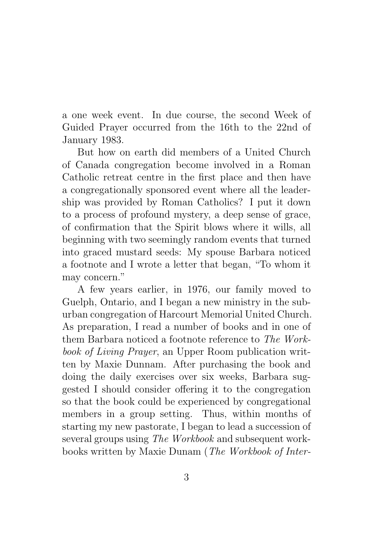a one week event. In due course, the second Week of Guided Prayer occurred from the 16th to the 22nd of January 1983.

But how on earth did members of a United Church of Canada congregation become involved in a Roman Catholic retreat centre in the first place and then have a congregationally sponsored event where all the leadership was provided by Roman Catholics? I put it down to a process of profound mystery, a deep sense of grace, of confirmation that the Spirit blows where it wills, all beginning with two seemingly random events that turned into graced mustard seeds: My spouse Barbara noticed a footnote and I wrote a letter that began, "To whom it may concern."

A few years earlier, in 1976, our family moved to Guelph, Ontario, and I began a new ministry in the suburban congregation of Harcourt Memorial United Church. As preparation, I read a number of books and in one of them Barbara noticed a footnote reference to The Workbook of Living Prayer, an Upper Room publication written by Maxie Dunnam. After purchasing the book and doing the daily exercises over six weeks, Barbara suggested I should consider offering it to the congregation so that the book could be experienced by congregational members in a group setting. Thus, within months of starting my new pastorate, I began to lead a succession of several groups using The Workbook and subsequent workbooks written by Maxie Dunam (The Workbook of Inter-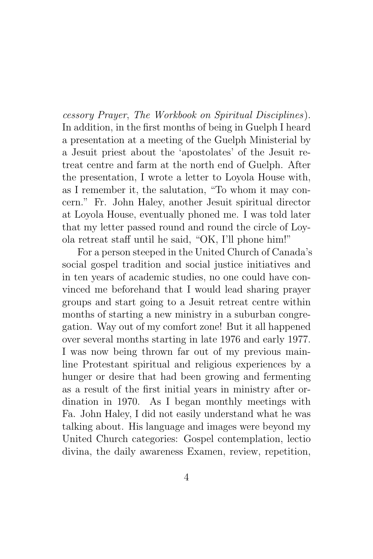cessory Prayer, The Workbook on Spiritual Disciplines). In addition, in the first months of being in Guelph I heard a presentation at a meeting of the Guelph Ministerial by a Jesuit priest about the 'apostolates' of the Jesuit retreat centre and farm at the north end of Guelph. After the presentation, I wrote a letter to Loyola House with, as I remember it, the salutation, "To whom it may concern." Fr. John Haley, another Jesuit spiritual director at Loyola House, eventually phoned me. I was told later that my letter passed round and round the circle of Loyola retreat staff until he said, "OK, I'll phone him!"

For a person steeped in the United Church of Canada's social gospel tradition and social justice initiatives and in ten years of academic studies, no one could have convinced me beforehand that I would lead sharing prayer groups and start going to a Jesuit retreat centre within months of starting a new ministry in a suburban congregation. Way out of my comfort zone! But it all happened over several months starting in late 1976 and early 1977. I was now being thrown far out of my previous mainline Protestant spiritual and religious experiences by a hunger or desire that had been growing and fermenting as a result of the first initial years in ministry after ordination in 1970. As I began monthly meetings with Fa. John Haley, I did not easily understand what he was talking about. His language and images were beyond my United Church categories: Gospel contemplation, lectio divina, the daily awareness Examen, review, repetition,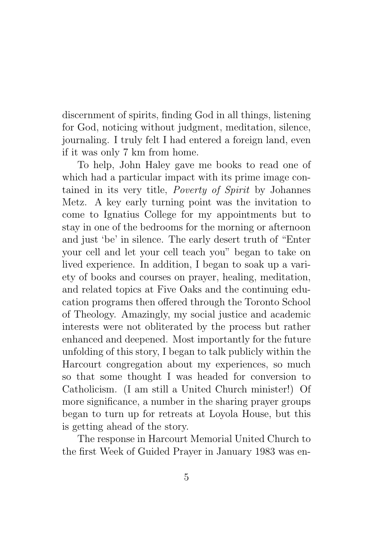discernment of spirits, finding God in all things, listening for God, noticing without judgment, meditation, silence, journaling. I truly felt I had entered a foreign land, even if it was only 7 km from home.

To help, John Haley gave me books to read one of which had a particular impact with its prime image contained in its very title, *Poverty of Spirit* by Johannes Metz. A key early turning point was the invitation to come to Ignatius College for my appointments but to stay in one of the bedrooms for the morning or afternoon and just 'be' in silence. The early desert truth of "Enter your cell and let your cell teach you" began to take on lived experience. In addition, I began to soak up a variety of books and courses on prayer, healing, meditation, and related topics at Five Oaks and the continuing education programs then offered through the Toronto School of Theology. Amazingly, my social justice and academic interests were not obliterated by the process but rather enhanced and deepened. Most importantly for the future unfolding of this story, I began to talk publicly within the Harcourt congregation about my experiences, so much so that some thought I was headed for conversion to Catholicism. (I am still a United Church minister!) Of more significance, a number in the sharing prayer groups began to turn up for retreats at Loyola House, but this is getting ahead of the story.

The response in Harcourt Memorial United Church to the first Week of Guided Prayer in January 1983 was en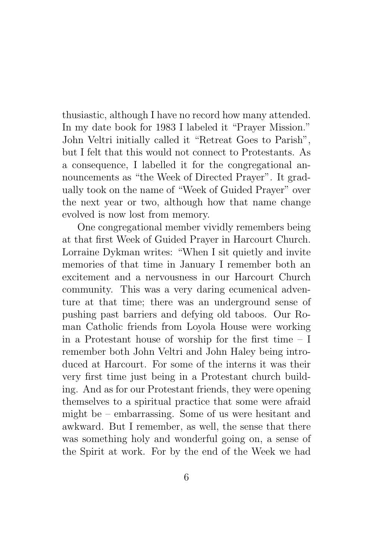thusiastic, although I have no record how many attended. In my date book for 1983 I labeled it "Prayer Mission." John Veltri initially called it "Retreat Goes to Parish", but I felt that this would not connect to Protestants. As a consequence, I labelled it for the congregational announcements as "the Week of Directed Prayer". It gradually took on the name of "Week of Guided Prayer" over the next year or two, although how that name change evolved is now lost from memory.

One congregational member vividly remembers being at that first Week of Guided Prayer in Harcourt Church. Lorraine Dykman writes: "When I sit quietly and invite memories of that time in January I remember both an excitement and a nervousness in our Harcourt Church community. This was a very daring ecumenical adventure at that time; there was an underground sense of pushing past barriers and defying old taboos. Our Roman Catholic friends from Loyola House were working in a Protestant house of worship for the first time – I remember both John Veltri and John Haley being introduced at Harcourt. For some of the interns it was their very first time just being in a Protestant church building. And as for our Protestant friends, they were opening themselves to a spiritual practice that some were afraid might be – embarrassing. Some of us were hesitant and awkward. But I remember, as well, the sense that there was something holy and wonderful going on, a sense of the Spirit at work. For by the end of the Week we had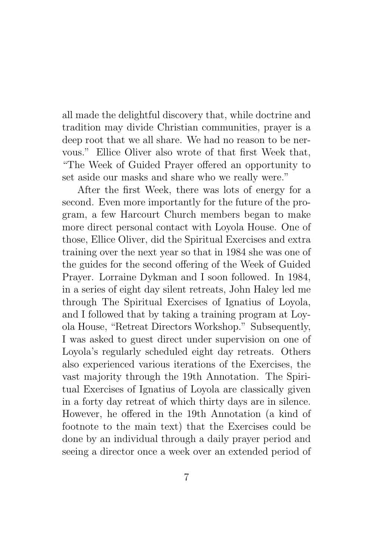all made the delightful discovery that, while doctrine and tradition may divide Christian communities, prayer is a deep root that we all share. We had no reason to be nervous." Ellice Oliver also wrote of that first Week that, "The Week of Guided Prayer offered an opportunity to set aside our masks and share who we really were."

After the first Week, there was lots of energy for a second. Even more importantly for the future of the program, a few Harcourt Church members began to make more direct personal contact with Loyola House. One of those, Ellice Oliver, did the Spiritual Exercises and extra training over the next year so that in 1984 she was one of the guides for the second offering of the Week of Guided Prayer. Lorraine Dykman and I soon followed. In 1984, in a series of eight day silent retreats, John Haley led me through The Spiritual Exercises of Ignatius of Loyola, and I followed that by taking a training program at Loyola House, "Retreat Directors Workshop." Subsequently, I was asked to guest direct under supervision on one of Loyola's regularly scheduled eight day retreats. Others also experienced various iterations of the Exercises, the vast majority through the 19th Annotation. The Spiritual Exercises of Ignatius of Loyola are classically given in a forty day retreat of which thirty days are in silence. However, he offered in the 19th Annotation (a kind of footnote to the main text) that the Exercises could be done by an individual through a daily prayer period and seeing a director once a week over an extended period of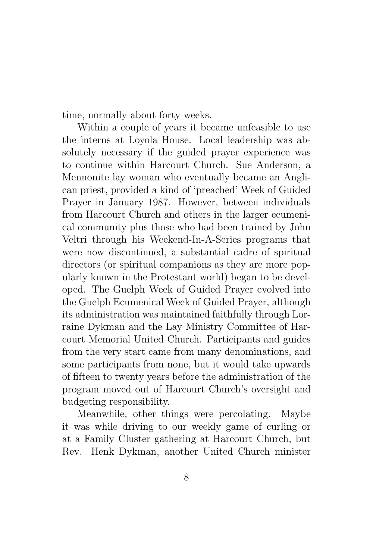time, normally about forty weeks.

Within a couple of years it became unfeasible to use the interns at Loyola House. Local leadership was absolutely necessary if the guided prayer experience was to continue within Harcourt Church. Sue Anderson, a Mennonite lay woman who eventually became an Anglican priest, provided a kind of 'preached' Week of Guided Prayer in January 1987. However, between individuals from Harcourt Church and others in the larger ecumenical community plus those who had been trained by John Veltri through his Weekend-In-A-Series programs that were now discontinued, a substantial cadre of spiritual directors (or spiritual companions as they are more popularly known in the Protestant world) began to be developed. The Guelph Week of Guided Prayer evolved into the Guelph Ecumenical Week of Guided Prayer, although its administration was maintained faithfully through Lorraine Dykman and the Lay Ministry Committee of Harcourt Memorial United Church. Participants and guides from the very start came from many denominations, and some participants from none, but it would take upwards of fifteen to twenty years before the administration of the program moved out of Harcourt Church's oversight and budgeting responsibility.

Meanwhile, other things were percolating. Maybe it was while driving to our weekly game of curling or at a Family Cluster gathering at Harcourt Church, but Rev. Henk Dykman, another United Church minister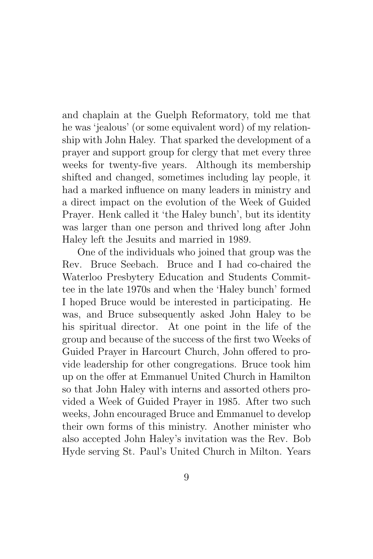and chaplain at the Guelph Reformatory, told me that he was 'jealous' (or some equivalent word) of my relationship with John Haley. That sparked the development of a prayer and support group for clergy that met every three weeks for twenty-five years. Although its membership shifted and changed, sometimes including lay people, it had a marked influence on many leaders in ministry and a direct impact on the evolution of the Week of Guided Prayer. Henk called it 'the Haley bunch', but its identity was larger than one person and thrived long after John Haley left the Jesuits and married in 1989.

One of the individuals who joined that group was the Rev. Bruce Seebach. Bruce and I had co-chaired the Waterloo Presbytery Education and Students Committee in the late 1970s and when the 'Haley bunch' formed I hoped Bruce would be interested in participating. He was, and Bruce subsequently asked John Haley to be his spiritual director. At one point in the life of the group and because of the success of the first two Weeks of Guided Prayer in Harcourt Church, John offered to provide leadership for other congregations. Bruce took him up on the offer at Emmanuel United Church in Hamilton so that John Haley with interns and assorted others provided a Week of Guided Prayer in 1985. After two such weeks, John encouraged Bruce and Emmanuel to develop their own forms of this ministry. Another minister who also accepted John Haley's invitation was the Rev. Bob Hyde serving St. Paul's United Church in Milton. Years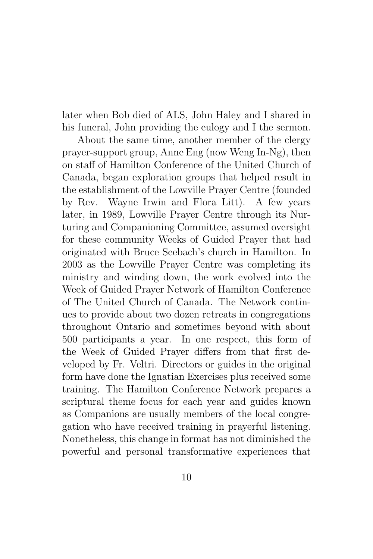later when Bob died of ALS, John Haley and I shared in his funeral, John providing the eulogy and I the sermon.

About the same time, another member of the clergy prayer-support group, Anne Eng (now Weng In-Ng), then on staff of Hamilton Conference of the United Church of Canada, began exploration groups that helped result in the establishment of the Lowville Prayer Centre (founded by Rev. Wayne Irwin and Flora Litt). A few years later, in 1989, Lowville Prayer Centre through its Nurturing and Companioning Committee, assumed oversight for these community Weeks of Guided Prayer that had originated with Bruce Seebach's church in Hamilton. In 2003 as the Lowville Prayer Centre was completing its ministry and winding down, the work evolved into the Week of Guided Prayer Network of Hamilton Conference of The United Church of Canada. The Network continues to provide about two dozen retreats in congregations throughout Ontario and sometimes beyond with about 500 participants a year. In one respect, this form of the Week of Guided Prayer differs from that first developed by Fr. Veltri. Directors or guides in the original form have done the Ignatian Exercises plus received some training. The Hamilton Conference Network prepares a scriptural theme focus for each year and guides known as Companions are usually members of the local congregation who have received training in prayerful listening. Nonetheless, this change in format has not diminished the powerful and personal transformative experiences that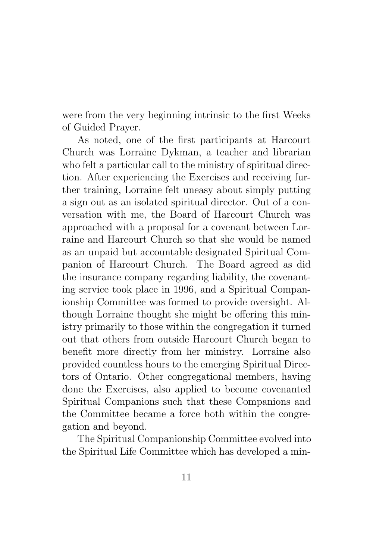were from the very beginning intrinsic to the first Weeks of Guided Prayer.

As noted, one of the first participants at Harcourt Church was Lorraine Dykman, a teacher and librarian who felt a particular call to the ministry of spiritual direction. After experiencing the Exercises and receiving further training, Lorraine felt uneasy about simply putting a sign out as an isolated spiritual director. Out of a conversation with me, the Board of Harcourt Church was approached with a proposal for a covenant between Lorraine and Harcourt Church so that she would be named as an unpaid but accountable designated Spiritual Companion of Harcourt Church. The Board agreed as did the insurance company regarding liability, the covenanting service took place in 1996, and a Spiritual Companionship Committee was formed to provide oversight. Although Lorraine thought she might be offering this ministry primarily to those within the congregation it turned out that others from outside Harcourt Church began to benefit more directly from her ministry. Lorraine also provided countless hours to the emerging Spiritual Directors of Ontario. Other congregational members, having done the Exercises, also applied to become covenanted Spiritual Companions such that these Companions and the Committee became a force both within the congregation and beyond.

The Spiritual Companionship Committee evolved into the Spiritual Life Committee which has developed a min-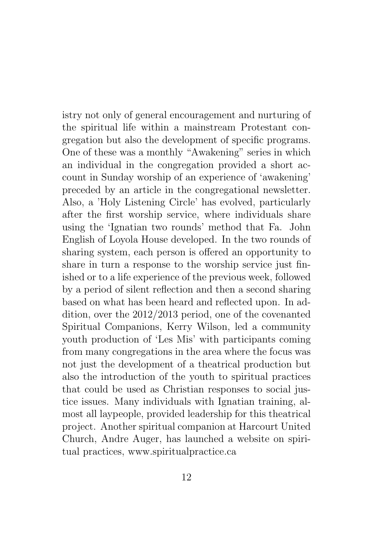istry not only of general encouragement and nurturing of the spiritual life within a mainstream Protestant congregation but also the development of specific programs. One of these was a monthly "Awakening" series in which an individual in the congregation provided a short account in Sunday worship of an experience of 'awakening' preceded by an article in the congregational newsletter. Also, a 'Holy Listening Circle' has evolved, particularly after the first worship service, where individuals share using the 'Ignatian two rounds' method that Fa. John English of Loyola House developed. In the two rounds of sharing system, each person is offered an opportunity to share in turn a response to the worship service just finished or to a life experience of the previous week, followed by a period of silent reflection and then a second sharing based on what has been heard and reflected upon. In addition, over the 2012/2013 period, one of the covenanted Spiritual Companions, Kerry Wilson, led a community youth production of 'Les Mis' with participants coming from many congregations in the area where the focus was not just the development of a theatrical production but also the introduction of the youth to spiritual practices that could be used as Christian responses to social justice issues. Many individuals with Ignatian training, almost all laypeople, provided leadership for this theatrical project. Another spiritual companion at Harcourt United Church, Andre Auger, has launched a website on spiritual practices, www.spiritualpractice.ca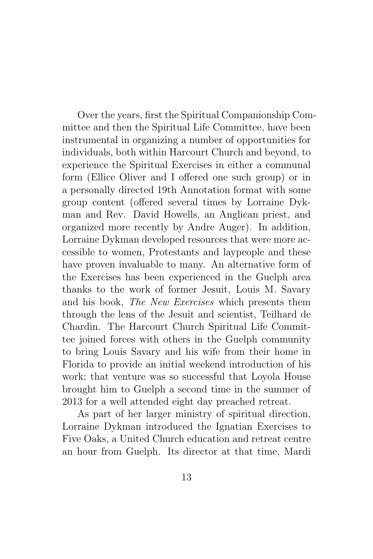Over the years, first the Spiritual Companionship Committee and then the Spiritual Life Committee, have been instrumental in organizing a number of opportunities for individuals, both within Harcourt Church and beyond, to experience the Spiritual Exercises in either a communal form (Ellice Oliver and I offered one such group) or in a personally directed 19th Annotation format with some group content (offered several times by Lorraine Dykman and Rev. David Howells, an Anglican priest, and organized more recently by Andre Auger). In addition, Lorraine Dykman developed resources that were more accessible to women, Protestants and laypeople and these have proven invaluable to many. An alternative form of the Exercises has been experienced in the Guelph area thanks to the work of former Jesuit, Louis M. Savary and his book, The New Exercises which presents them through the lens of the Jesuit and scientist, Teilhard de Chardin. The Harcourt Church Spiritual Life Committee joined forces with others in the Guelph community to bring Louis Savary and his wife from their home in Florida to provide an initial weekend introduction of his work; that venture was so successful that Loyola House brought him to Guelph a second time in the summer of 2013 for a well attended eight day preached retreat.

As part of her larger ministry of spiritual direction, Lorraine Dykman introduced the Ignatian Exercises to Five Oaks, a United Church education and retreat centre an hour from Guelph. Its director at that time, Mardi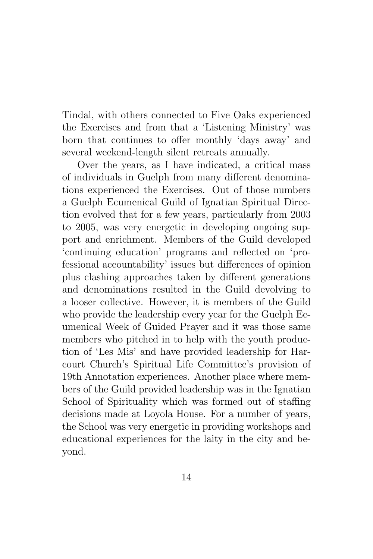Tindal, with others connected to Five Oaks experienced the Exercises and from that a 'Listening Ministry' was born that continues to offer monthly 'days away' and several weekend-length silent retreats annually.

Over the years, as I have indicated, a critical mass of individuals in Guelph from many different denominations experienced the Exercises. Out of those numbers a Guelph Ecumenical Guild of Ignatian Spiritual Direction evolved that for a few years, particularly from 2003 to 2005, was very energetic in developing ongoing support and enrichment. Members of the Guild developed 'continuing education' programs and reflected on 'professional accountability' issues but differences of opinion plus clashing approaches taken by different generations and denominations resulted in the Guild devolving to a looser collective. However, it is members of the Guild who provide the leadership every year for the Guelph Ecumenical Week of Guided Prayer and it was those same members who pitched in to help with the youth production of 'Les Mis' and have provided leadership for Harcourt Church's Spiritual Life Committee's provision of 19th Annotation experiences. Another place where members of the Guild provided leadership was in the Ignatian School of Spirituality which was formed out of staffing decisions made at Loyola House. For a number of years, the School was very energetic in providing workshops and educational experiences for the laity in the city and beyond.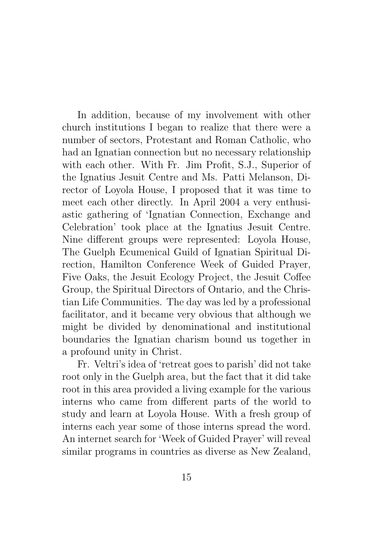In addition, because of my involvement with other church institutions I began to realize that there were a number of sectors, Protestant and Roman Catholic, who had an Ignatian connection but no necessary relationship with each other. With Fr. Jim Profit, S.J., Superior of the Ignatius Jesuit Centre and Ms. Patti Melanson, Director of Loyola House, I proposed that it was time to meet each other directly. In April 2004 a very enthusiastic gathering of 'Ignatian Connection, Exchange and Celebration' took place at the Ignatius Jesuit Centre. Nine different groups were represented: Loyola House, The Guelph Ecumenical Guild of Ignatian Spiritual Direction, Hamilton Conference Week of Guided Prayer, Five Oaks, the Jesuit Ecology Project, the Jesuit Coffee Group, the Spiritual Directors of Ontario, and the Christian Life Communities. The day was led by a professional facilitator, and it became very obvious that although we might be divided by denominational and institutional boundaries the Ignatian charism bound us together in a profound unity in Christ.

Fr. Veltri's idea of 'retreat goes to parish' did not take root only in the Guelph area, but the fact that it did take root in this area provided a living example for the various interns who came from different parts of the world to study and learn at Loyola House. With a fresh group of interns each year some of those interns spread the word. An internet search for 'Week of Guided Prayer' will reveal similar programs in countries as diverse as New Zealand,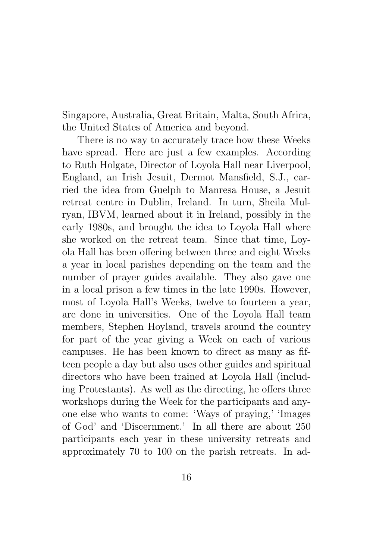Singapore, Australia, Great Britain, Malta, South Africa, the United States of America and beyond.

There is no way to accurately trace how these Weeks have spread. Here are just a few examples. According to Ruth Holgate, Director of Loyola Hall near Liverpool, England, an Irish Jesuit, Dermot Mansfield, S.J., carried the idea from Guelph to Manresa House, a Jesuit retreat centre in Dublin, Ireland. In turn, Sheila Mulryan, IBVM, learned about it in Ireland, possibly in the early 1980s, and brought the idea to Loyola Hall where she worked on the retreat team. Since that time, Loyola Hall has been offering between three and eight Weeks a year in local parishes depending on the team and the number of prayer guides available. They also gave one in a local prison a few times in the late 1990s. However, most of Loyola Hall's Weeks, twelve to fourteen a year, are done in universities. One of the Loyola Hall team members, Stephen Hoyland, travels around the country for part of the year giving a Week on each of various campuses. He has been known to direct as many as fifteen people a day but also uses other guides and spiritual directors who have been trained at Loyola Hall (including Protestants). As well as the directing, he offers three workshops during the Week for the participants and anyone else who wants to come: 'Ways of praying,' 'Images of God' and 'Discernment.' In all there are about 250 participants each year in these university retreats and approximately 70 to 100 on the parish retreats. In ad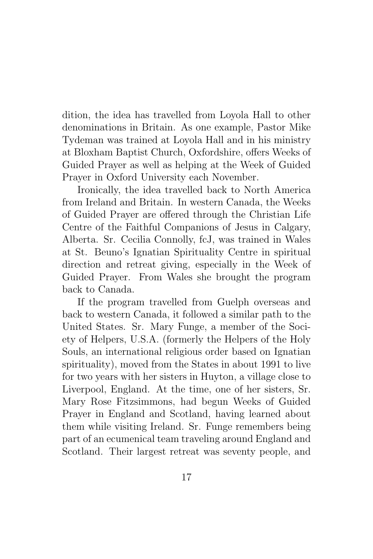dition, the idea has travelled from Loyola Hall to other denominations in Britain. As one example, Pastor Mike Tydeman was trained at Loyola Hall and in his ministry at Bloxham Baptist Church, Oxfordshire, offers Weeks of Guided Prayer as well as helping at the Week of Guided Prayer in Oxford University each November.

Ironically, the idea travelled back to North America from Ireland and Britain. In western Canada, the Weeks of Guided Prayer are offered through the Christian Life Centre of the Faithful Companions of Jesus in Calgary, Alberta. Sr. Cecilia Connolly, fcJ, was trained in Wales at St. Beuno's Ignatian Spirituality Centre in spiritual direction and retreat giving, especially in the Week of Guided Prayer. From Wales she brought the program back to Canada.

If the program travelled from Guelph overseas and back to western Canada, it followed a similar path to the United States. Sr. Mary Funge, a member of the Society of Helpers, U.S.A. (formerly the Helpers of the Holy Souls, an international religious order based on Ignatian spirituality), moved from the States in about 1991 to live for two years with her sisters in Huyton, a village close to Liverpool, England. At the time, one of her sisters, Sr. Mary Rose Fitzsimmons, had begun Weeks of Guided Prayer in England and Scotland, having learned about them while visiting Ireland. Sr. Funge remembers being part of an ecumenical team traveling around England and Scotland. Their largest retreat was seventy people, and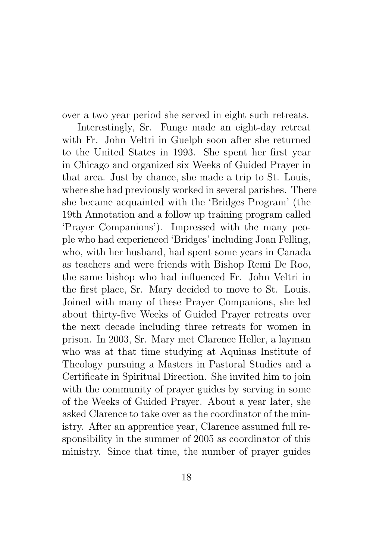over a two year period she served in eight such retreats.

Interestingly, Sr. Funge made an eight-day retreat with Fr. John Veltri in Guelph soon after she returned to the United States in 1993. She spent her first year in Chicago and organized six Weeks of Guided Prayer in that area. Just by chance, she made a trip to St. Louis, where she had previously worked in several parishes. There she became acquainted with the 'Bridges Program' (the 19th Annotation and a follow up training program called 'Prayer Companions'). Impressed with the many people who had experienced 'Bridges' including Joan Felling, who, with her husband, had spent some years in Canada as teachers and were friends with Bishop Remi De Roo, the same bishop who had influenced Fr. John Veltri in the first place, Sr. Mary decided to move to St. Louis. Joined with many of these Prayer Companions, she led about thirty-five Weeks of Guided Prayer retreats over the next decade including three retreats for women in prison. In 2003, Sr. Mary met Clarence Heller, a layman who was at that time studying at Aquinas Institute of Theology pursuing a Masters in Pastoral Studies and a Certificate in Spiritual Direction. She invited him to join with the community of prayer guides by serving in some of the Weeks of Guided Prayer. About a year later, she asked Clarence to take over as the coordinator of the ministry. After an apprentice year, Clarence assumed full responsibility in the summer of 2005 as coordinator of this ministry. Since that time, the number of prayer guides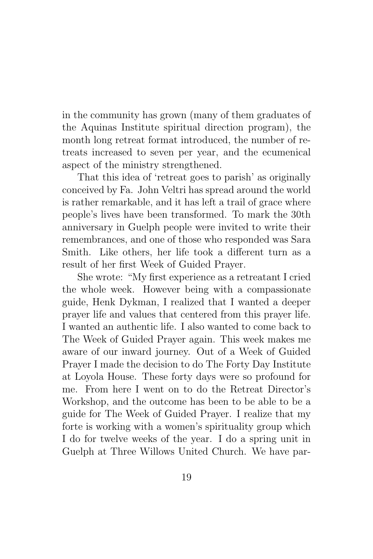in the community has grown (many of them graduates of the Aquinas Institute spiritual direction program), the month long retreat format introduced, the number of retreats increased to seven per year, and the ecumenical aspect of the ministry strengthened.

That this idea of 'retreat goes to parish' as originally conceived by Fa. John Veltri has spread around the world is rather remarkable, and it has left a trail of grace where people's lives have been transformed. To mark the 30th anniversary in Guelph people were invited to write their remembrances, and one of those who responded was Sara Smith. Like others, her life took a different turn as a result of her first Week of Guided Prayer.

She wrote: "My first experience as a retreatant I cried the whole week. However being with a compassionate guide, Henk Dykman, I realized that I wanted a deeper prayer life and values that centered from this prayer life. I wanted an authentic life. I also wanted to come back to The Week of Guided Prayer again. This week makes me aware of our inward journey. Out of a Week of Guided Prayer I made the decision to do The Forty Day Institute at Loyola House. These forty days were so profound for me. From here I went on to do the Retreat Director's Workshop, and the outcome has been to be able to be a guide for The Week of Guided Prayer. I realize that my forte is working with a women's spirituality group which I do for twelve weeks of the year. I do a spring unit in Guelph at Three Willows United Church. We have par-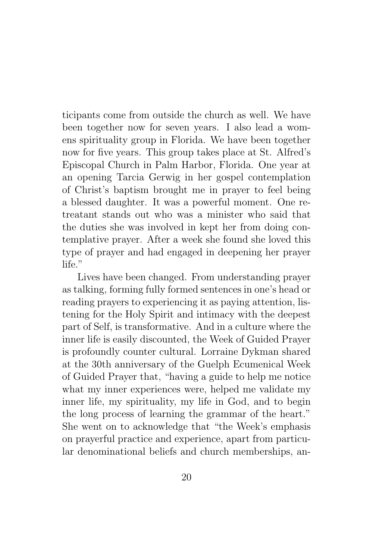ticipants come from outside the church as well. We have been together now for seven years. I also lead a womens spirituality group in Florida. We have been together now for five years. This group takes place at St. Alfred's Episcopal Church in Palm Harbor, Florida. One year at an opening Tarcia Gerwig in her gospel contemplation of Christ's baptism brought me in prayer to feel being a blessed daughter. It was a powerful moment. One retreatant stands out who was a minister who said that the duties she was involved in kept her from doing contemplative prayer. After a week she found she loved this type of prayer and had engaged in deepening her prayer life."

Lives have been changed. From understanding prayer as talking, forming fully formed sentences in one's head or reading prayers to experiencing it as paying attention, listening for the Holy Spirit and intimacy with the deepest part of Self, is transformative. And in a culture where the inner life is easily discounted, the Week of Guided Prayer is profoundly counter cultural. Lorraine Dykman shared at the 30th anniversary of the Guelph Ecumenical Week of Guided Prayer that, "having a guide to help me notice what my inner experiences were, helped me validate my inner life, my spirituality, my life in God, and to begin the long process of learning the grammar of the heart." She went on to acknowledge that "the Week's emphasis on prayerful practice and experience, apart from particular denominational beliefs and church memberships, an-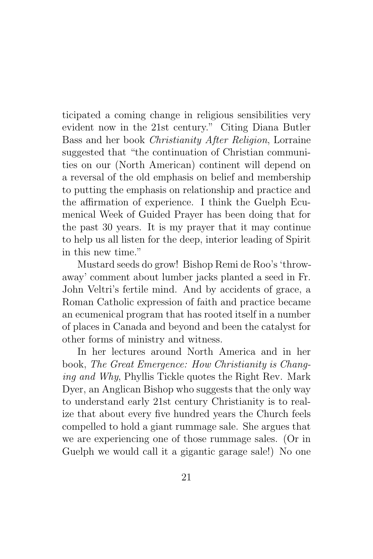ticipated a coming change in religious sensibilities very evident now in the 21st century." Citing Diana Butler Bass and her book Christianity After Religion, Lorraine suggested that "the continuation of Christian communities on our (North American) continent will depend on a reversal of the old emphasis on belief and membership to putting the emphasis on relationship and practice and the affirmation of experience. I think the Guelph Ecumenical Week of Guided Prayer has been doing that for the past 30 years. It is my prayer that it may continue to help us all listen for the deep, interior leading of Spirit in this new time."

Mustard seeds do grow! Bishop Remi de Roo's 'throwaway' comment about lumber jacks planted a seed in Fr. John Veltri's fertile mind. And by accidents of grace, a Roman Catholic expression of faith and practice became an ecumenical program that has rooted itself in a number of places in Canada and beyond and been the catalyst for other forms of ministry and witness.

In her lectures around North America and in her book, The Great Emergence: How Christianity is Changing and Why, Phyllis Tickle quotes the Right Rev. Mark Dyer, an Anglican Bishop who suggests that the only way to understand early 21st century Christianity is to realize that about every five hundred years the Church feels compelled to hold a giant rummage sale. She argues that we are experiencing one of those rummage sales. (Or in Guelph we would call it a gigantic garage sale!) No one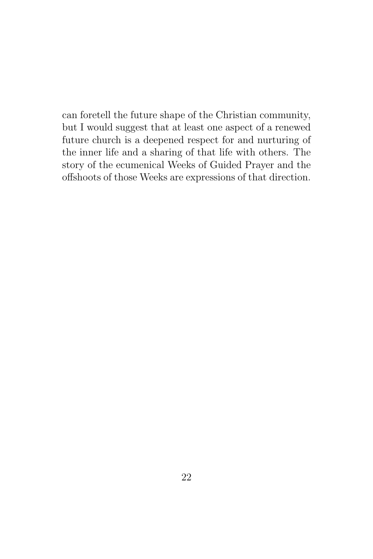can foretell the future shape of the Christian community, but I would suggest that at least one aspect of a renewed future church is a deepened respect for and nurturing of the inner life and a sharing of that life with others. The story of the ecumenical Weeks of Guided Prayer and the offshoots of those Weeks are expressions of that direction.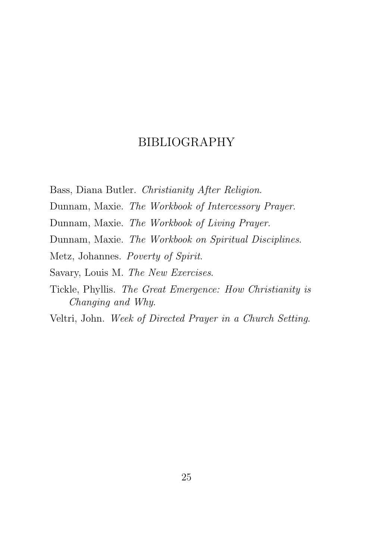### BIBLIOGRAPHY

Bass, Diana Butler. Christianity After Religion.

Dunnam, Maxie. The Workbook of Intercessory Prayer.

Dunnam, Maxie. The Workbook of Living Prayer.

Dunnam, Maxie. The Workbook on Spiritual Disciplines.

Metz, Johannes. Poverty of Spirit.

Savary, Louis M. The New Exercises.

Tickle, Phyllis. The Great Emergence: How Christianity is Changing and Why.

Veltri, John. Week of Directed Prayer in a Church Setting.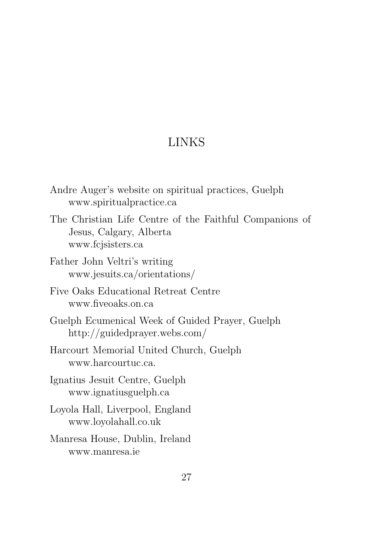# LINKS